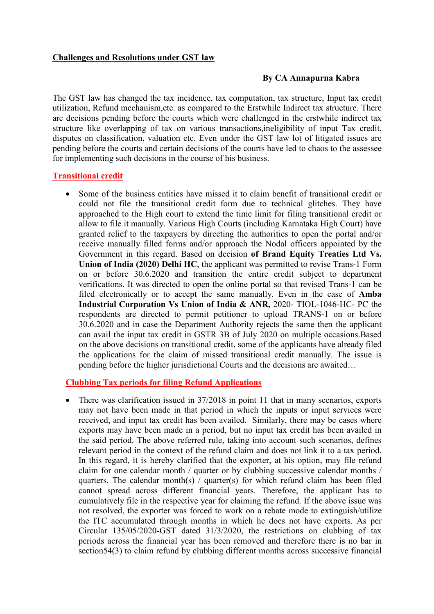### **Challenges and Resolutions under GST law**

#### **By CA Annapurna Kabra**

The GST law has changed the tax incidence, tax computation, tax structure, Input tax credit utilization, Refund mechanism,etc. as compared to the Erstwhile Indirect tax structure. There are decisions pending before the courts which were challenged in the erstwhile indirect tax structure like overlapping of tax on various transactions,ineligibility of input Tax credit, disputes on classification, valuation etc. Even under the GST law lot of litigated issues are pending before the courts and certain decisions of the courts have led to chaos to the assessee for implementing such decisions in the course of his business.

### **Transitional credit**

• Some of the business entities have missed it to claim benefit of transitional credit or could not file the transitional credit form due to technical glitches. They have approached to the High court to extend the time limit for filing transitional credit or allow to file it manually. Various High Courts (including Karnataka High Court) have granted relief to the taxpayers by directing the authorities to open the portal and/or receive manually filled forms and/or approach the Nodal officers appointed by the Government in this regard. Based on decision **of Brand Equity Treaties Ltd Vs. Union of India (2020) Delhi HC**, the applicant was permitted to revise Trans-1 Form on or before 30.6.2020 and transition the entire credit subject to department verifications. It was directed to open the online portal so that revised Trans-1 can be filed electronically or to accept the same manually. Even in the case of **Amba Industrial Corporation Vs Union of India & ANR,** 2020- TIOL-1046-HC- PC the respondents are directed to permit petitioner to upload TRANS-1 on or before 30.6.2020 and in case the Department Authority rejects the same then the applicant can avail the input tax credit in GSTR 3B of July 2020 on multiple occasions.Based on the above decisions on transitional credit, some of the applicants have already filed the applications for the claim of missed transitional credit manually. The issue is pending before the higher jurisdictional Courts and the decisions are awaited…

### **Clubbing Tax periods for filing Refund Applications**

• There was clarification issued in 37/2018 in point 11 that in many scenarios, exports may not have been made in that period in which the inputs or input services were received, and input tax credit has been availed. Similarly, there may be cases where exports may have been made in a period, but no input tax credit has been availed in the said period. The above referred rule, taking into account such scenarios, defines relevant period in the context of the refund claim and does not link it to a tax period. In this regard, it is hereby clarified that the exporter, at his option, may file refund claim for one calendar month / quarter or by clubbing successive calendar months / quarters. The calendar month(s) / quarter(s) for which refund claim has been filed cannot spread across different financial years. Therefore, the applicant has to cumulatively file in the respective year for claiming the refund. If the above issue was not resolved, the exporter was forced to work on a rebate mode to extinguish/utilize the ITC accumulated through months in which he does not have exports. As per Circular 135/05/2020-GST dated 31/3/2020, the restrictions on clubbing of tax periods across the financial year has been removed and therefore there is no bar in section 54(3) to claim refund by clubbing different months across successive financial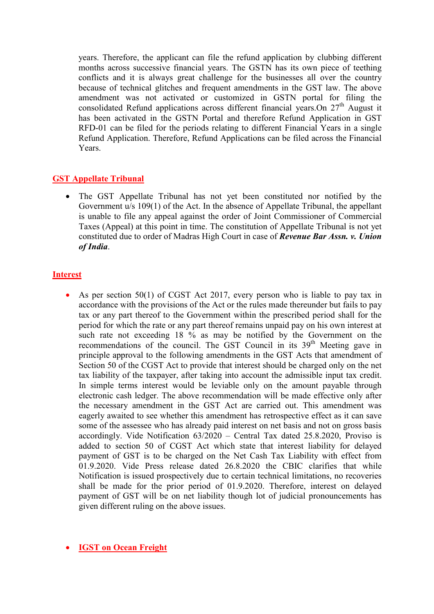years. Therefore, the applicant can file the refund application by clubbing different months across successive financial years. The GSTN has its own piece of teething conflicts and it is always great challenge for the businesses all over the country because of technical glitches and frequent amendments in the GST law. The above amendment was not activated or customized in GSTN portal for filing the consolidated Refund applications across different financial years.On 27<sup>th</sup> August it has been activated in the GSTN Portal and therefore Refund Application in GST RFD-01 can be filed for the periods relating to different Financial Years in a single Refund Application. Therefore, Refund Applications can be filed across the Financial Years.

## **GST Appellate Tribunal**

• The GST Appellate Tribunal has not yet been constituted nor notified by the Government u/s 109(1) of the Act. In the absence of Appellate Tribunal, the appellant is unable to file any appeal against the order of Joint Commissioner of Commercial Taxes (Appeal) at this point in time. The constitution of Appellate Tribunal is not yet constituted due to order of Madras High Court in case of *Revenue Bar Assn. v. Union of India*.

## **Interest**

• As per section 50(1) of CGST Act 2017, every person who is liable to pay tax in accordance with the provisions of the Act or the rules made thereunder but fails to pay tax or any part thereof to the Government within the prescribed period shall for the period for which the rate or any part thereof remains unpaid pay on his own interest at such rate not exceeding 18 % as may be notified by the Government on the recommendations of the council. The GST Council in its  $39<sup>th</sup>$  Meeting gave in principle approval to the following amendments in the GST Acts that amendment of Section 50 of the CGST Act to provide that interest should be charged only on the net tax liability of the taxpayer, after taking into account the admissible input tax credit. In simple terms interest would be leviable only on the amount payable through electronic cash ledger. The above recommendation will be made effective only after the necessary amendment in the GST Act are carried out. This amendment was eagerly awaited to see whether this amendment has retrospective effect as it can save some of the assessee who has already paid interest on net basis and not on gross basis accordingly. Vide Notification 63/2020 – Central Tax dated 25.8.2020, Proviso is added to section 50 of CGST Act which state that interest liability for delayed payment of GST is to be charged on the Net Cash Tax Liability with effect from 01.9.2020. Vide Press release dated 26.8.2020 the CBIC clarifies that while Notification is issued prospectively due to certain technical limitations, no recoveries shall be made for the prior period of 01.9.2020. Therefore, interest on delayed payment of GST will be on net liability though lot of judicial pronouncements has given different ruling on the above issues.

## • **IGST on Ocean Freight**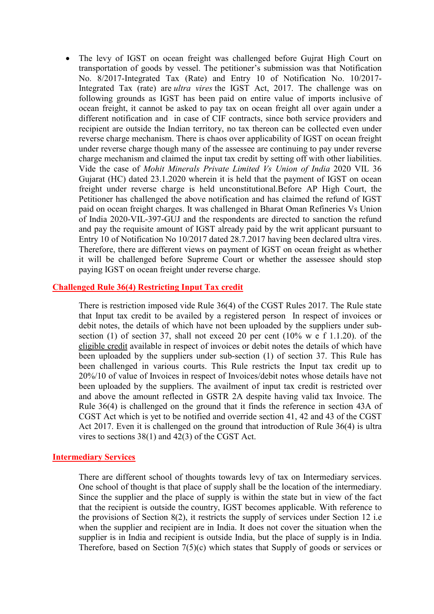• The levy of IGST on ocean freight was challenged before Guirat High Court on transportation of goods by vessel. The petitioner's submission was that Notification No. 8/2017-Integrated Tax (Rate) and Entry 10 of Notification No. 10/2017- Integrated Tax (rate) are *ultra vires* the IGST Act, 2017. The challenge was on following grounds as IGST has been paid on entire value of imports inclusive of ocean freight, it cannot be asked to pay tax on ocean freight all over again under a different notification and in case of CIF contracts, since both service providers and recipient are outside the Indian territory, no tax thereon can be collected even under reverse charge mechanism. There is chaos over applicability of IGST on ocean freight under reverse charge though many of the assessee are continuing to pay under reverse charge mechanism and claimed the input tax credit by setting off with other liabilities. Vide the case of *Mohit Minerals Private Limited Vs Union of India* 2020 VIL 36 Gujarat (HC) dated 23.1.2020 wherein it is held that the payment of IGST on ocean freight under reverse charge is held unconstitutional.Before AP High Court, the Petitioner has challenged the above notification and has claimed the refund of IGST paid on ocean freight charges. It was challenged in Bharat Oman Refineries Vs Union of India 2020-VIL-397-GUJ and the respondents are directed to sanction the refund and pay the requisite amount of IGST already paid by the writ applicant pursuant to Entry 10 of Notification No 10/2017 dated 28.7.2017 having been declared ultra vires. Therefore, there are different views on payment of IGST on ocean freight as whether it will be challenged before Supreme Court or whether the assessee should stop paying IGST on ocean freight under reverse charge.

### **Challenged Rule 36(4) Restricting Input Tax credit**

There is restriction imposed vide Rule 36(4) of the CGST Rules 2017. The Rule state that Input tax credit to be availed by a registered person In respect of invoices or debit notes, the details of which have not been uploaded by the suppliers under subsection (1) of section 37, shall not exceed 20 per cent (10% w e f 1.1.20). of the eligible credit available in respect of invoices or debit notes the details of which have been uploaded by the suppliers under sub-section (1) of section 37. This Rule has been challenged in various courts. This Rule restricts the Input tax credit up to 20%/10 of value of Invoices in respect of Invoices/debit notes whose details have not been uploaded by the suppliers. The availment of input tax credit is restricted over and above the amount reflected in GSTR 2A despite having valid tax Invoice. The Rule 36(4) is challenged on the ground that it finds the reference in section 43A of CGST Act which is yet to be notified and override section 41, 42 and 43 of the CGST Act 2017. Even it is challenged on the ground that introduction of Rule 36(4) is ultra vires to sections 38(1) and 42(3) of the CGST Act.

#### **Intermediary Services**

There are different school of thoughts towards levy of tax on Intermediary services. One school of thought is that place of supply shall be the location of the intermediary. Since the supplier and the place of supply is within the state but in view of the fact that the recipient is outside the country, IGST becomes applicable. With reference to the provisions of Section 8(2), it restricts the supply of services under Section 12 i.e when the supplier and recipient are in India. It does not cover the situation when the supplier is in India and recipient is outside India, but the place of supply is in India. Therefore, based on Section 7(5)(c) which states that Supply of goods or services or